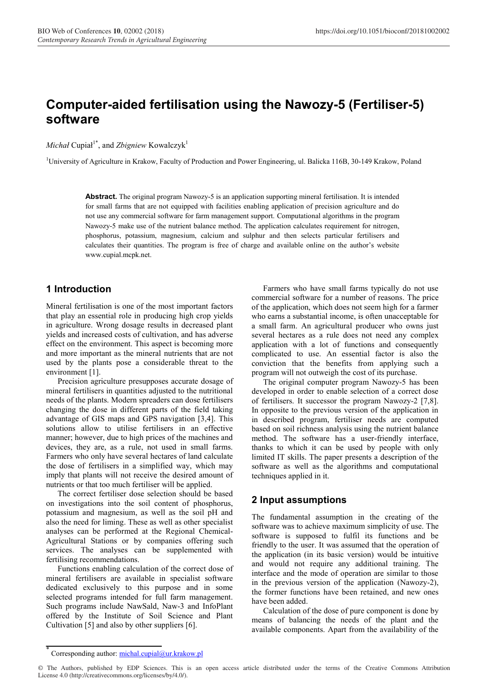# **Computer-aided fertilisation using the Nawozy-5 (Fertiliser-5) software**

*Michał* Cupiał<sup>1\*</sup>, and *Zbigniew* Kowalczyk<sup>1</sup>

<sup>1</sup>University of Agriculture in Krakow, Faculty of Production and Power Engineering, ul. Balicka 116B, 30-149 Krakow, Poland

Abstract. The original program Nawozy-5 is an application supporting mineral fertilisation. It is intended for small farms that are not equipped with facilities enabling application of precision agriculture and do not use any commercial software for farm management support. Computational algorithms in the program Nawozy-5 make use of the nutrient balance method. The application calculates requirement for nitrogen, phosphorus, potassium, magnesium, calcium and sulphur and then selects particular fertilisers and calculates their quantities. The program is free of charge and available online on the author's website www.cupial.mcpk.net.

## **1 Introduction**

Mineral fertilisation is one of the most important factors that play an essential role in producing high crop yields in agriculture. Wrong dosage results in decreased plant yields and increased costs of cultivation, and has adverse effect on the environment. This aspect is becoming more and more important as the mineral nutrients that are not used by the plants pose a considerable threat to the environment [1].

Precision agriculture presupposes accurate dosage of mineral fertilisers in quantities adjusted to the nutritional needs of the plants. Modern spreaders can dose fertilisers changing the dose in different parts of the field taking advantage of GIS maps and GPS navigation [3,4]. This solutions allow to utilise fertilisers in an effective manner; however, due to high prices of the machines and devices, they are, as a rule, not used in small farms. Farmers who only have several hectares of land calculate the dose of fertilisers in a simplified way, which may imply that plants will not receive the desired amount of nutrients or that too much fertiliser will be applied.

The correct fertiliser dose selection should be based on investigations into the soil content of phosphorus, potassium and magnesium, as well as the soil pH and also the need for liming. These as well as other specialist analyses can be performed at the Regional Chemical-Agricultural Stations or by companies offering such services. The analyses can be supplemented with fertilising recommendations.

Functions enabling calculation of the correct dose of mineral fertilisers are available in specialist software dedicated exclusively to this purpose and in some selected programs intended for full farm management. Such programs include NawSald, Naw-3 and InfoPlant offered by the Institute of Soil Science and Plant Cultivation [5] and also by other suppliers [6].

Farmers who have small farms typically do not use commercial software for a number of reasons. The price of the application, which does not seem high for a farmer who earns a substantial income, is often unacceptable for a small farm. An agricultural producer who owns just several hectares as a rule does not need any complex application with a lot of functions and consequently complicated to use. An essential factor is also the conviction that the benefits from applying such a program will not outweigh the cost of its purchase.

The original computer program Nawozy-5 has been developed in order to enable selection of a correct dose of fertilisers. It successor the program Nawozy-2 [7,8]. In opposite to the previous version of the application in in described program, fertiliser needs are computed based on soil richness analysis using the nutrient balance method. The software has a user-friendly interface, thanks to which it can be used by people with only limited IT skills. The paper presents a description of the software as well as the algorithms and computational techniques applied in it.

## **2 Input assumptions**

The fundamental assumption in the creating of the software was to achieve maximum simplicity of use. The software is supposed to fulfil its functions and be friendly to the user. It was assumed that the operation of the application (in its basic version) would be intuitive and would not require any additional training. The interface and the mode of operation are similar to those in the previous version of the application (Nawozy-2), the former functions have been retained, and new ones have been added.

Calculation of the dose of pure component is done by means of balancing the needs of the plant and the available components. Apart from the availability of the

Corresponding author: michal.cupial@ur.krakow.pl

<sup>©</sup> The Authors, published by EDP Sciences. This is an open access article distributed under the terms of the Creative Commons Attribution License 4.0 (http://creativecommons.org/licenses/by/4.0/).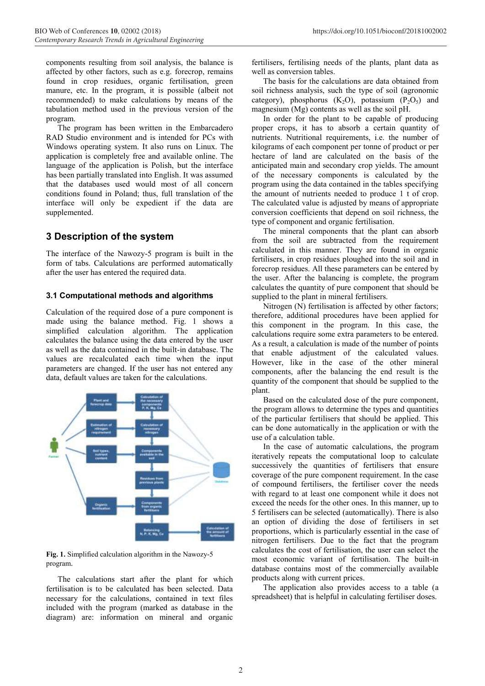components resulting from soil analysis, the balance is affected by other factors, such as e.g. forecrop, remains found in crop residues, organic fertilisation, green manure, etc. In the program, it is possible (albeit not recommended) to make calculations by means of the tabulation method used in the previous version of the program.

The program has been written in the Embarcadero RAD Studio environment and is intended for PCs with Windows operating system. It also runs on Linux. The application is completely free and available online. The language of the application is Polish, but the interface has been partially translated into English. It was assumed that the databases used would most of all concern conditions found in Poland; thus, full translation of the interface will only be expedient if the data are supplemented.

## **3 Description of the system**

The interface of the Nawozy-5 program is built in the form of tabs. Calculations are performed automatically after the user has entered the required data.

### **3.1 Computational methods and algorithms**

Calculation of the required dose of a pure component is made using the balance method. Fig. 1 shows a simplified calculation algorithm. The application calculates the balance using the data entered by the user as well as the data contained in the built-in database. The values are recalculated each time when the input parameters are changed. If the user has not entered any data, default values are taken for the calculations.



**Fig. 1.** Simplified calculation algorithm in the Nawozy-5 program.

The calculations start after the plant for which fertilisation is to be calculated has been selected. Data necessary for the calculations, contained in text files included with the program (marked as database in the diagram) are: information on mineral and organic

fertilisers, fertilising needs of the plants, plant data as well as conversion tables.

The basis for the calculations are data obtained from soil richness analysis, such the type of soil (agronomic category), phosphorus  $(K_2O)$ , potassium  $(P_2O_5)$  and magnesium (Mg) contents as well as the soil pH.

In order for the plant to be capable of producing proper crops, it has to absorb a certain quantity of nutrients. Nutritional requirements, i.e. the number of kilograms of each component per tonne of product or per hectare of land are calculated on the basis of the anticipated main and secondary crop yields. The amount of the necessary components is calculated by the program using the data contained in the tables specifying the amount of nutrients needed to produce 1 t of crop. The calculated value is adjusted by means of appropriate conversion coefficients that depend on soil richness, the type of component and organic fertilisation.

The mineral components that the plant can absorb from the soil are subtracted from the requirement calculated in this manner. They are found in organic fertilisers, in crop residues ploughed into the soil and in forecrop residues. All these parameters can be entered by the user. After the balancing is complete, the program calculates the quantity of pure component that should be supplied to the plant in mineral fertilisers.

Nitrogen (N) fertilisation is affected by other factors; therefore, additional procedures have been applied for this component in the program. In this case, the calculations require some extra parameters to be entered. As a result, a calculation is made of the number of points that enable adjustment of the calculated values. However, like in the case of the other mineral components, after the balancing the end result is the quantity of the component that should be supplied to the plant.

Based on the calculated dose of the pure component, the program allows to determine the types and quantities of the particular fertilisers that should be applied. This can be done automatically in the application or with the use of a calculation table.

In the case of automatic calculations, the program iteratively repeats the computational loop to calculate successively the quantities of fertilisers that ensure coverage of the pure component requirement. In the case of compound fertilisers, the fertiliser cover the needs with regard to at least one component while it does not exceed the needs for the other ones. In this manner, up to 5 fertilisers can be selected (automatically). There is also an option of dividing the dose of fertilisers in set proportions, which is particularly essential in the case of nitrogen fertilisers. Due to the fact that the program calculates the cost of fertilisation, the user can select the most economic variant of fertilisation. The built-in database contains most of the commercially available products along with current prices.

The application also provides access to a table (a spreadsheet) that is helpful in calculating fertiliser doses.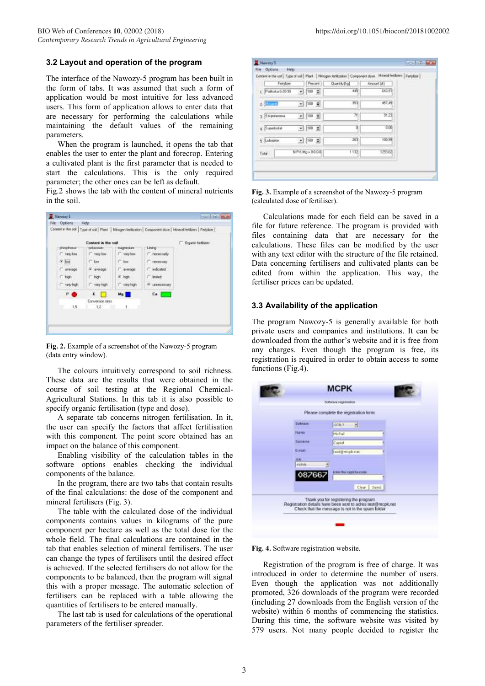#### **3.2 Layout and operation of the program**

The interface of the Nawozy-5 program has been built in the form of tabs. It was assumed that such a form of application would be most intuitive for less advanced users. This form of application allows to enter data that are necessary for performing the calculations while maintaining the default values of the remaining parameters.

When the program is launched, it opens the tab that enables the user to enter the plant and forecrop. Entering a cultivated plant is the first parameter that is needed to start the calculations. This is the only required parameter; the other ones can be left as default.

Fig.2 shows the tab with the content of mineral nutrients in the soil.



**Fig. 2.** Example of a screenshot of the Nawozy-5 program (data entry window).

The colours intuitively correspond to soil richness. These data are the results that were obtained in the course of soil testing at the Regional Chemical-Agricultural Stations. In this tab it is also possible to specify organic fertilisation (type and dose).

A separate tab concerns nitrogen fertilisation. In it, the user can specify the factors that affect fertilisation with this component. The point score obtained has an impact on the balance of this component.

Enabling visibility of the calculation tables in the software options enables checking the individual components of the balance.

In the program, there are two tabs that contain results of the final calculations: the dose of the component and mineral fertilisers (Fig. 3).

The table with the calculated dose of the individual components contains values in kilograms of the pure component per hectare as well as the total dose for the whole field. The final calculations are contained in the tab that enables selection of mineral fertilisers. The user can change the types of fertilisers until the desired effect is achieved. If the selected fertilisers do not allow for the components to be balanced, then the program will signal this with a proper message. The automatic selection of fertilisers can be replaced with a table allowing the quantities of fertilisers to be entered manually.

The last tab is used for calculations of the operational parameters of the fertiliser spreader.

| Fernan              |  | Percent             | <b>Quantity [kg]</b> | Animat (d) |  |
|---------------------|--|---------------------|----------------------|------------|--|
| 1. Polloska 6-20-30 |  | $+ 100 +$           | 46                   | \$43.91    |  |
| 2. Historia         |  | $-1100$ $\pm$       | юï                   | 457.49     |  |
| 1 Solpofamwa        |  | $+ 100 +$           | 'n                   | 22.23      |  |
| 4 Superfectal       |  | $+ 100$ $\pm$       | q                    | 2.03       |  |
| 4 Lubopton          |  | $\bullet$ 100 $\pm$ | 263                  | 100.99     |  |
| Total               |  | NPAMg = 0000        | 1132                 | 1293.62    |  |

**Fig. 3.** Example of a screenshot of the Nawozy-5 program (calculated dose of fertiliser).

Calculations made for each field can be saved in a file for future reference. The program is provided with files containing data that are necessary for the calculations. These files can be modified by the user with any text editor with the structure of the file retained. Data concerning fertilisers and cultivated plants can be edited from within the application. This way, the fertiliser prices can be updated.

#### **3.3 Availability of the application**

The program Nawozy-5 is generally available for both private users and companies and institutions. It can be downloaded from the author's website and it is free from any charges. Even though the program is free, its registration is required in order to obtain access to some functions (Fig.4).

|  |                                           | Please complete the registration form:                                                                                                                   |  |  |
|--|-------------------------------------------|----------------------------------------------------------------------------------------------------------------------------------------------------------|--|--|
|  | <b>Subvare</b><br>Namic<br><b>Simune:</b> | $QTH-7$<br>회                                                                                                                                             |  |  |
|  |                                           | Michael                                                                                                                                                  |  |  |
|  |                                           | 35 F.U<br>Cupini                                                                                                                                         |  |  |
|  | Eidlat                                    | test@mcpk.mat                                                                                                                                            |  |  |
|  | Jola.<br>naivie                           | a1                                                                                                                                                       |  |  |
|  | 08766.                                    | <b>Drive the capicha code</b>                                                                                                                            |  |  |
|  |                                           | Clear L Send                                                                                                                                             |  |  |
|  |                                           | Thank you for registering the program.<br>Registration details have been sent to adres lest@mcpk.net<br>Check that the message is not in the spam folder |  |  |

**Fig. 4.** Software registration website.

Registration of the program is free of charge. It was introduced in order to determine the number of users. Even though the application was not additionally promoted, 326 downloads of the program were recorded (including 27 downloads from the English version of the website) within 6 months of commencing the statistics. During this time, the software website was visited by 579 users. Not many people decided to register the